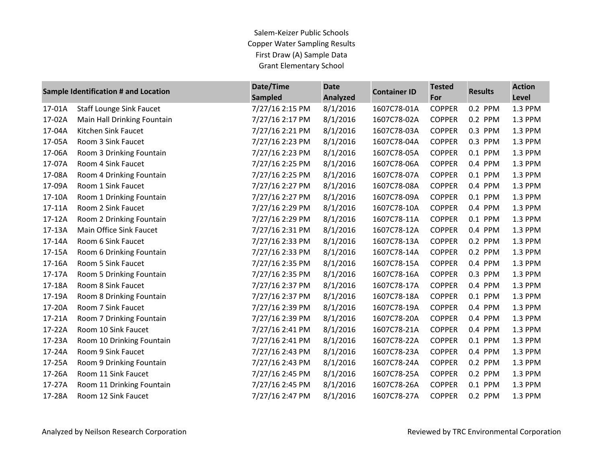## Salem-Keizer Public Schools Copper Water Sampling Results First Draw (A) Sample Data Grant Elementary School

| Sample Identification # and Location |                                 | Date/Time       | <b>Date</b><br><b>Analyzed</b> | <b>Container ID</b> | <b>Tested</b><br>For | <b>Results</b> | <b>Action</b> |
|--------------------------------------|---------------------------------|-----------------|--------------------------------|---------------------|----------------------|----------------|---------------|
|                                      |                                 | <b>Sampled</b>  |                                |                     |                      |                | Level         |
| 17-01A                               | <b>Staff Lounge Sink Faucet</b> | 7/27/16 2:15 PM | 8/1/2016                       | 1607C78-01A         | <b>COPPER</b>        | 0.2 PPM        | 1.3 PPM       |
| 17-02A                               | Main Hall Drinking Fountain     | 7/27/16 2:17 PM | 8/1/2016                       | 1607C78-02A         | <b>COPPER</b>        | 0.2 PPM        | 1.3 PPM       |
| 17-04A                               | Kitchen Sink Faucet             | 7/27/16 2:21 PM | 8/1/2016                       | 1607C78-03A         | <b>COPPER</b>        | 0.3 PPM        | 1.3 PPM       |
| 17-05A                               | Room 3 Sink Faucet              | 7/27/16 2:23 PM | 8/1/2016                       | 1607C78-04A         | <b>COPPER</b>        | 0.3 PPM        | 1.3 PPM       |
| 17-06A                               | Room 3 Drinking Fountain        | 7/27/16 2:23 PM | 8/1/2016                       | 1607C78-05A         | <b>COPPER</b>        | 0.1 PPM        | 1.3 PPM       |
| 17-07A                               | Room 4 Sink Faucet              | 7/27/16 2:25 PM | 8/1/2016                       | 1607C78-06A         | <b>COPPER</b>        | 0.4 PPM        | 1.3 PPM       |
| 17-08A                               | Room 4 Drinking Fountain        | 7/27/16 2:25 PM | 8/1/2016                       | 1607C78-07A         | <b>COPPER</b>        | 0.1 PPM        | 1.3 PPM       |
| 17-09A                               | Room 1 Sink Faucet              | 7/27/16 2:27 PM | 8/1/2016                       | 1607C78-08A         | <b>COPPER</b>        | 0.4 PPM        | 1.3 PPM       |
| 17-10A                               | Room 1 Drinking Fountain        | 7/27/16 2:27 PM | 8/1/2016                       | 1607C78-09A         | <b>COPPER</b>        | 0.1 PPM        | 1.3 PPM       |
| 17-11A                               | Room 2 Sink Faucet              | 7/27/16 2:29 PM | 8/1/2016                       | 1607C78-10A         | <b>COPPER</b>        | 0.4 PPM        | 1.3 PPM       |
| 17-12A                               | Room 2 Drinking Fountain        | 7/27/16 2:29 PM | 8/1/2016                       | 1607C78-11A         | <b>COPPER</b>        | 0.1 PPM        | 1.3 PPM       |
| 17-13A                               | Main Office Sink Faucet         | 7/27/16 2:31 PM | 8/1/2016                       | 1607C78-12A         | <b>COPPER</b>        | 0.4 PPM        | 1.3 PPM       |
| 17-14A                               | Room 6 Sink Faucet              | 7/27/16 2:33 PM | 8/1/2016                       | 1607C78-13A         | <b>COPPER</b>        | 0.2 PPM        | 1.3 PPM       |
| 17-15A                               | Room 6 Drinking Fountain        | 7/27/16 2:33 PM | 8/1/2016                       | 1607C78-14A         | <b>COPPER</b>        | 0.2 PPM        | 1.3 PPM       |
| 17-16A                               | Room 5 Sink Faucet              | 7/27/16 2:35 PM | 8/1/2016                       | 1607C78-15A         | <b>COPPER</b>        | 0.4 PPM        | 1.3 PPM       |
| 17-17A                               | Room 5 Drinking Fountain        | 7/27/16 2:35 PM | 8/1/2016                       | 1607C78-16A         | <b>COPPER</b>        | 0.3 PPM        | 1.3 PPM       |
| 17-18A                               | Room 8 Sink Faucet              | 7/27/16 2:37 PM | 8/1/2016                       | 1607C78-17A         | <b>COPPER</b>        | 0.4 PPM        | 1.3 PPM       |
| 17-19A                               | Room 8 Drinking Fountain        | 7/27/16 2:37 PM | 8/1/2016                       | 1607C78-18A         | <b>COPPER</b>        | 0.1 PPM        | 1.3 PPM       |
| 17-20A                               | Room 7 Sink Faucet              | 7/27/16 2:39 PM | 8/1/2016                       | 1607C78-19A         | <b>COPPER</b>        | 0.4 PPM        | 1.3 PPM       |
| 17-21A                               | Room 7 Drinking Fountain        | 7/27/16 2:39 PM | 8/1/2016                       | 1607C78-20A         | <b>COPPER</b>        | 0.4 PPM        | 1.3 PPM       |
| 17-22A                               | Room 10 Sink Faucet             | 7/27/16 2:41 PM | 8/1/2016                       | 1607C78-21A         | <b>COPPER</b>        | 0.4 PPM        | 1.3 PPM       |
| 17-23A                               | Room 10 Drinking Fountain       | 7/27/16 2:41 PM | 8/1/2016                       | 1607C78-22A         | <b>COPPER</b>        | 0.1 PPM        | 1.3 PPM       |
| 17-24A                               | Room 9 Sink Faucet              | 7/27/16 2:43 PM | 8/1/2016                       | 1607C78-23A         | <b>COPPER</b>        | 0.4 PPM        | 1.3 PPM       |
| 17-25A                               | Room 9 Drinking Fountain        | 7/27/16 2:43 PM | 8/1/2016                       | 1607C78-24A         | <b>COPPER</b>        | 0.2 PPM        | 1.3 PPM       |
| 17-26A                               | Room 11 Sink Faucet             | 7/27/16 2:45 PM | 8/1/2016                       | 1607C78-25A         | <b>COPPER</b>        | 0.2 PPM        | 1.3 PPM       |
| 17-27A                               | Room 11 Drinking Fountain       | 7/27/16 2:45 PM | 8/1/2016                       | 1607C78-26A         | <b>COPPER</b>        | 0.1 PPM        | 1.3 PPM       |
| 17-28A                               | Room 12 Sink Faucet             | 7/27/16 2:47 PM | 8/1/2016                       | 1607C78-27A         | <b>COPPER</b>        | 0.2 PPM        | 1.3 PPM       |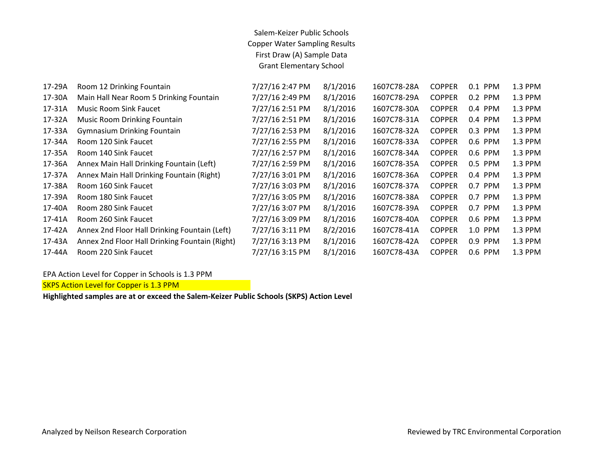## Salem-Keizer Public Schools Copper Water Sampling Results First Draw (A) Sample Data Grant Elementary School

| Room 12 Drinking Fountain                      | 7/27/16 2:47 PM | 8/1/2016 | 1607C78-28A | <b>COPPER</b> | 0.1 PPM   | 1.3 PPM |
|------------------------------------------------|-----------------|----------|-------------|---------------|-----------|---------|
| Main Hall Near Room 5 Drinking Fountain        | 7/27/16 2:49 PM | 8/1/2016 | 1607C78-29A | <b>COPPER</b> | $0.2$ PPM | 1.3 PPM |
| <b>Music Room Sink Faucet</b>                  | 7/27/16 2:51 PM | 8/1/2016 | 1607C78-30A | <b>COPPER</b> | $0.4$ PPM | 1.3 PPM |
| Music Room Drinking Fountain                   | 7/27/16 2:51 PM | 8/1/2016 | 1607C78-31A | <b>COPPER</b> | $0.4$ PPM | 1.3 PPM |
| <b>Gymnasium Drinking Fountain</b>             | 7/27/16 2:53 PM | 8/1/2016 | 1607C78-32A | <b>COPPER</b> | 0.3 PPM   | 1.3 PPM |
| Room 120 Sink Faucet                           | 7/27/16 2:55 PM | 8/1/2016 | 1607C78-33A | <b>COPPER</b> | 0.6 PPM   | 1.3 PPM |
| Room 140 Sink Faucet                           | 7/27/16 2:57 PM | 8/1/2016 | 1607C78-34A | <b>COPPER</b> | 0.6 PPM   | 1.3 PPM |
| Annex Main Hall Drinking Fountain (Left)       | 7/27/16 2:59 PM | 8/1/2016 | 1607C78-35A | <b>COPPER</b> | 0.5 PPM   | 1.3 PPM |
| Annex Main Hall Drinking Fountain (Right)      | 7/27/16 3:01 PM | 8/1/2016 | 1607C78-36A | <b>COPPER</b> | $0.4$ PPM | 1.3 PPM |
| Room 160 Sink Faucet                           | 7/27/16 3:03 PM | 8/1/2016 | 1607C78-37A | <b>COPPER</b> | 0.7 PPM   | 1.3 PPM |
| Room 180 Sink Faucet                           | 7/27/16 3:05 PM | 8/1/2016 | 1607C78-38A | <b>COPPER</b> | 0.7 PPM   | 1.3 PPM |
| Room 280 Sink Faucet                           | 7/27/16 3:07 PM | 8/1/2016 | 1607C78-39A | <b>COPPER</b> | 0.7 PPM   | 1.3 PPM |
| Room 260 Sink Faucet                           | 7/27/16 3:09 PM | 8/1/2016 | 1607C78-40A | <b>COPPER</b> | 0.6 PPM   | 1.3 PPM |
| Annex 2nd Floor Hall Drinking Fountain (Left)  | 7/27/16 3:11 PM | 8/2/2016 | 1607C78-41A | <b>COPPER</b> | 1.0 PPM   | 1.3 PPM |
| Annex 2nd Floor Hall Drinking Fountain (Right) | 7/27/16 3:13 PM | 8/1/2016 | 1607C78-42A | <b>COPPER</b> | $0.9$ PPM | 1.3 PPM |
| Room 220 Sink Faucet                           | 7/27/16 3:15 PM | 8/1/2016 | 1607C78-43A | <b>COPPER</b> | 0.6 PPM   | 1.3 PPM |
|                                                |                 |          |             |               |           |         |

EPA Action Level for Copper in Schools is 1.3 PPM

SKPS Action Level for Copper is 1.3 PPM

**Highlighted samples are at or exceed the Salem-Keizer Public Schools (SKPS) Action Level**